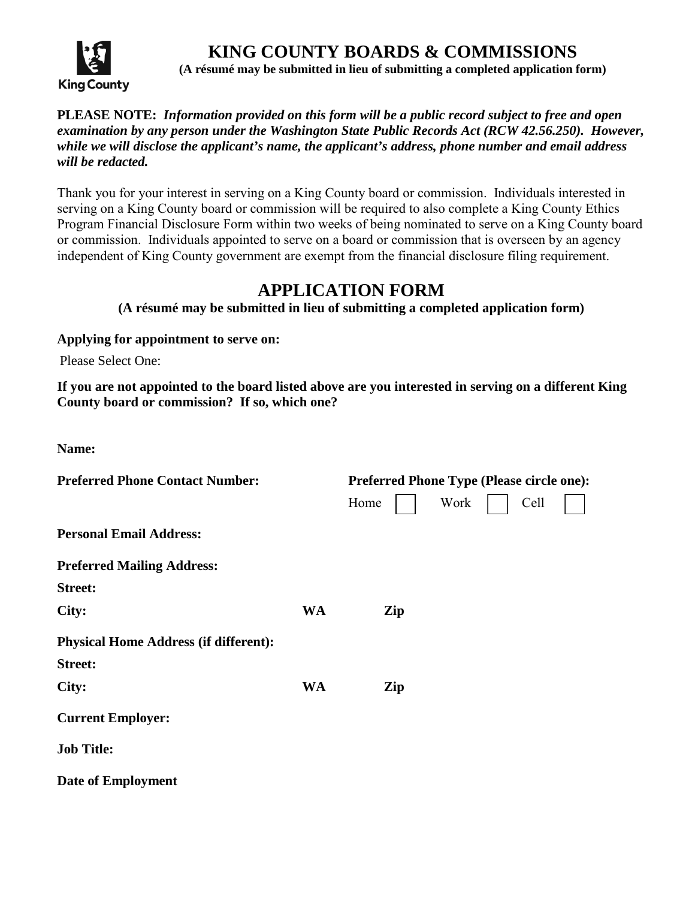

**KING COUNTY BOARDS & COMMISSIONS (A résumé may be submitted in lieu of submitting a completed application form)**

## **PLEASE NOTE:** *Information provided on this form will be a public record subject to free and open examination by any person under the Washington State Public Records Act (RCW 42.56.250). However, while we will disclose the applicant's name, the applicant's address, phone number and email address will be redacted.*

Thank you for your interest in serving on a King County board or commission. Individuals interested in serving on a King County board or commission will be required to also complete a King County Ethics Program Financial Disclosure Form within two weeks of being nominated to serve on a King County board or commission. Individuals appointed to serve on a board or commission that is overseen by an agency independent of King County government are exempt from the financial disclosure filing requirement.

## **APPLICATION FORM**

**(A résumé may be submitted in lieu of submitting a completed application form)**

**Applying for appointment to serve on:**

Please Select One:

**If you are not appointed to the board listed above are you interested in serving on a different King County board or commission? If so, which one?** 

| <b>Preferred Phone Contact Number:</b>       |           | <b>Preferred Phone Type (Please circle one):</b> |      |      |  |
|----------------------------------------------|-----------|--------------------------------------------------|------|------|--|
|                                              |           | Home                                             | Work | Cell |  |
| <b>Personal Email Address:</b>               |           |                                                  |      |      |  |
| <b>Preferred Mailing Address:</b>            |           |                                                  |      |      |  |
| <b>Street:</b>                               |           |                                                  |      |      |  |
| City:                                        | <b>WA</b> | Zip                                              |      |      |  |
| <b>Physical Home Address (if different):</b> |           |                                                  |      |      |  |
| <b>Street:</b>                               |           |                                                  |      |      |  |
| City:                                        | <b>WA</b> | Zip                                              |      |      |  |
| <b>Current Employer:</b>                     |           |                                                  |      |      |  |
| <b>Job Title:</b>                            |           |                                                  |      |      |  |
| <b>Date of Employment</b>                    |           |                                                  |      |      |  |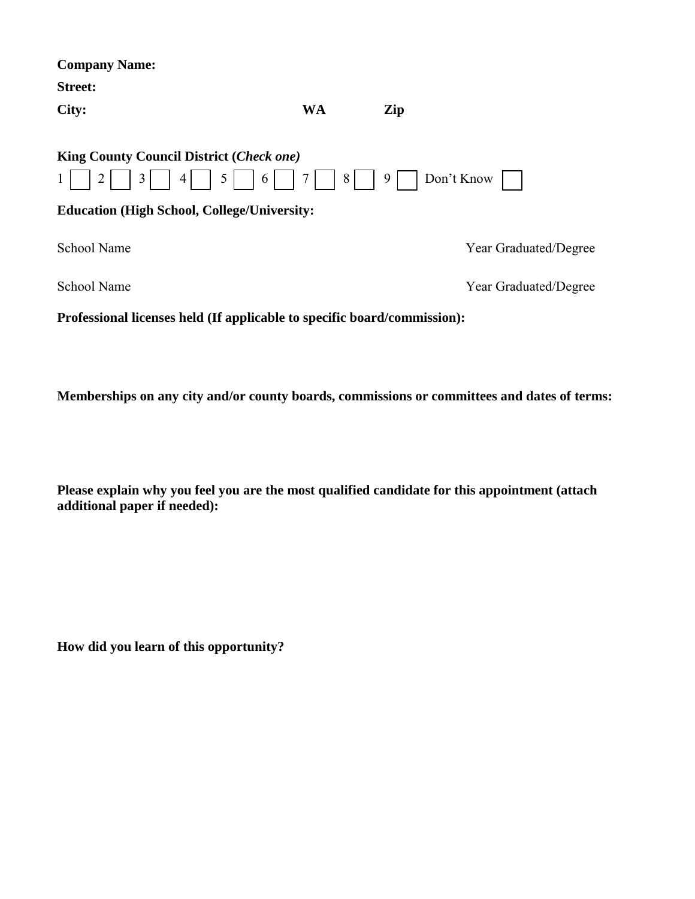| <b>WA</b>                                                                 | Zip |                       |
|---------------------------------------------------------------------------|-----|-----------------------|
| <b>King County Council District (Check one)</b><br>$4 \mid 5 \mid 6 \mid$ | 9   | Don't Know $\vert$    |
| <b>Education (High School, College/University:</b>                        |     |                       |
|                                                                           |     | Year Graduated/Degree |
|                                                                           |     | Year Graduated/Degree |
|                                                                           |     | 7     8               |

**Professional licenses held (If applicable to specific board/commission):**

**Memberships on any city and/or county boards, commissions or committees and dates of terms:**

**Please explain why you feel you are the most qualified candidate for this appointment (attach additional paper if needed):**

**How did you learn of this opportunity?**